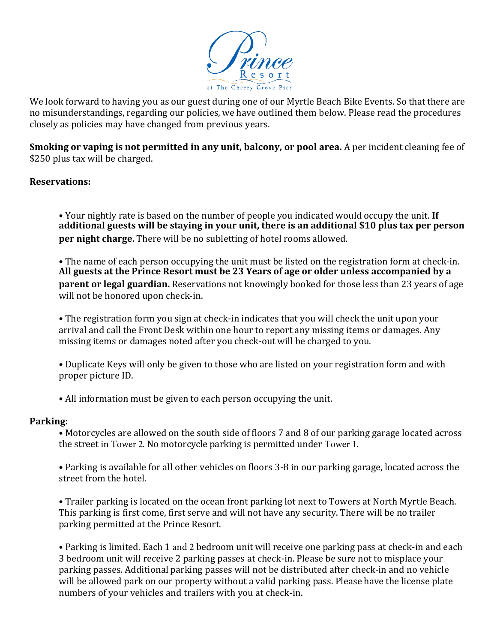

We look forward to having you as our guest during one of our Myrtle Beach Bike Events. So that there are no misunderstandings, regarding our policies, we have outlined them below. Please read the procedures closely as policies may have changed from previous years.

**Smoking or vaping is not permitted in any unit, balcony, or pool area.** A per incident cleaning fee of \$250 plus tax will be charged.

# **Reservations:**

• Your nightly rate is based on the number of people you indicated would occupy the unit. If **additional guests will be staying in your unit, there is an additional \$10 plus tax per person per night charge.** There will be no subletting of hotel rooms allowed.

• The name of each person occupying the unit must be listed on the registration form at check-in. **All guests at the Prince Resort must be 23 Years of age or older unless accompanied by a parent or legal guardian.** Reservations not knowingly booked for those less than 23 years of age will not be honored upon check-in.

• The registration form you sign at check-in indicates that you will check the unit upon your arrival and call the Front Desk within one hour to report any missing items or damages. Any missing items or damages noted after you check-out will be charged to you.

• Duplicate Keys will only be given to those who are listed on your registration form and with proper picture ID.

• All information must be given to each person occupying the unit.

### **Parking:**

• Motorcycles are allowed on the south side of floors 7 and 8 of our parking garage located across the street in Tower 2. No motorcycle parking is permitted under Tower 1.

• Parking is available for all other vehicles on floors 3-8 in our parking garage, located across the street from the hotel.

• Trailer parking is located on the ocean front parking lot next to Towers at North Myrtle Beach. This parking is first come, first serve and will not have any security. There will be no trailer parking permitted at the Prince Resort.

• Parking is limited. Each 1 and 2 bedroom unit will receive one parking pass at check-in and each 3 bedroom unit will receive 2 parking passes at check-in. Please be sure not to misplace your parking passes. Additional parking passes will not be distributed after check-in and no vehicle will be allowed park on our property without a valid parking pass. Please have the license plate numbers of your vehicles and trailers with you at check-in.